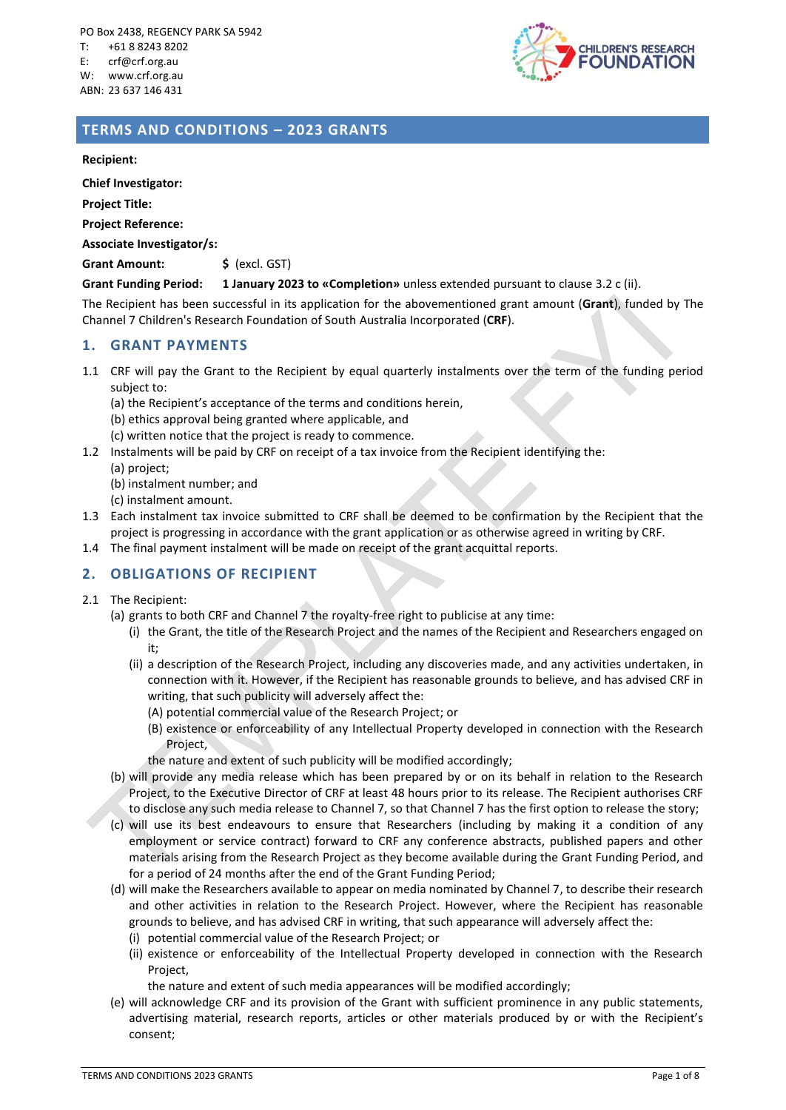

# **TERMS AND CONDITIONS – 2023 GRANTS**

**Recipient:**

**Chief Investigator:**

**Project Title:**

**Project Reference:**

**Associate Investigator/s:**

Grant Amount:  $\frac{1}{5}$  (excl. GST)

#### **Grant Funding Period: 1 January 2023 to «Completion»** unless extended pursuant to clause 3.2 c (ii).

The Recipient has been successful in its application for the abovementioned grant amount (**Grant**), funded by The Channel 7 Children's Research Foundation of South Australia Incorporated (**CRF**).

## **1. GRANT PAYMENTS**

1.1 CRF will pay the Grant to the Recipient by equal quarterly instalments over the term of the funding period subject to:

(a) the Recipient's acceptance of the terms and conditions herein,

(b) ethics approval being granted where applicable, and

(c) written notice that the project is ready to commence.

- 1.2 Instalments will be paid by CRF on receipt of a tax invoice from the Recipient identifying the:
	- (a) project;
	- (b) instalment number; and
	- (c) instalment amount.
- 1.3 Each instalment tax invoice submitted to CRF shall be deemed to be confirmation by the Recipient that the project is progressing in accordance with the grant application or as otherwise agreed in writing by CRF.
- 1.4 The final payment instalment will be made on receipt of the grant acquittal reports.

## **2. OBLIGATIONS OF RECIPIENT**

- 2.1 The Recipient:
	- (a) grants to both CRF and Channel 7 the royalty-free right to publicise at any time:
		- (i) the Grant, the title of the Research Project and the names of the Recipient and Researchers engaged on it;
		- (ii) a description of the Research Project, including any discoveries made, and any activities undertaken, in connection with it. However, if the Recipient has reasonable grounds to believe, and has advised CRF in writing, that such publicity will adversely affect the:
			- (A) potential commercial value of the Research Project; or
			- (B) existence or enforceability of any Intellectual Property developed in connection with the Research Project,
			- the nature and extent of such publicity will be modified accordingly;
	- (b) will provide any media release which has been prepared by or on its behalf in relation to the Research Project, to the Executive Director of CRF at least 48 hours prior to its release. The Recipient authorises CRF to disclose any such media release to Channel 7, so that Channel 7 has the first option to release the story;
	- (c) will use its best endeavours to ensure that Researchers (including by making it a condition of any employment or service contract) forward to CRF any conference abstracts, published papers and other materials arising from the Research Project as they become available during the Grant Funding Period, and for a period of 24 months after the end of the Grant Funding Period;
	- (d) will make the Researchers available to appear on media nominated by Channel 7, to describe their research and other activities in relation to the Research Project. However, where the Recipient has reasonable grounds to believe, and has advised CRF in writing, that such appearance will adversely affect the:
		- (i) potential commercial value of the Research Project; or
		- (ii) existence or enforceability of the Intellectual Property developed in connection with the Research Project,

the nature and extent of such media appearances will be modified accordingly;

(e) will acknowledge CRF and its provision of the Grant with sufficient prominence in any public statements, advertising material, research reports, articles or other materials produced by or with the Recipient's consent;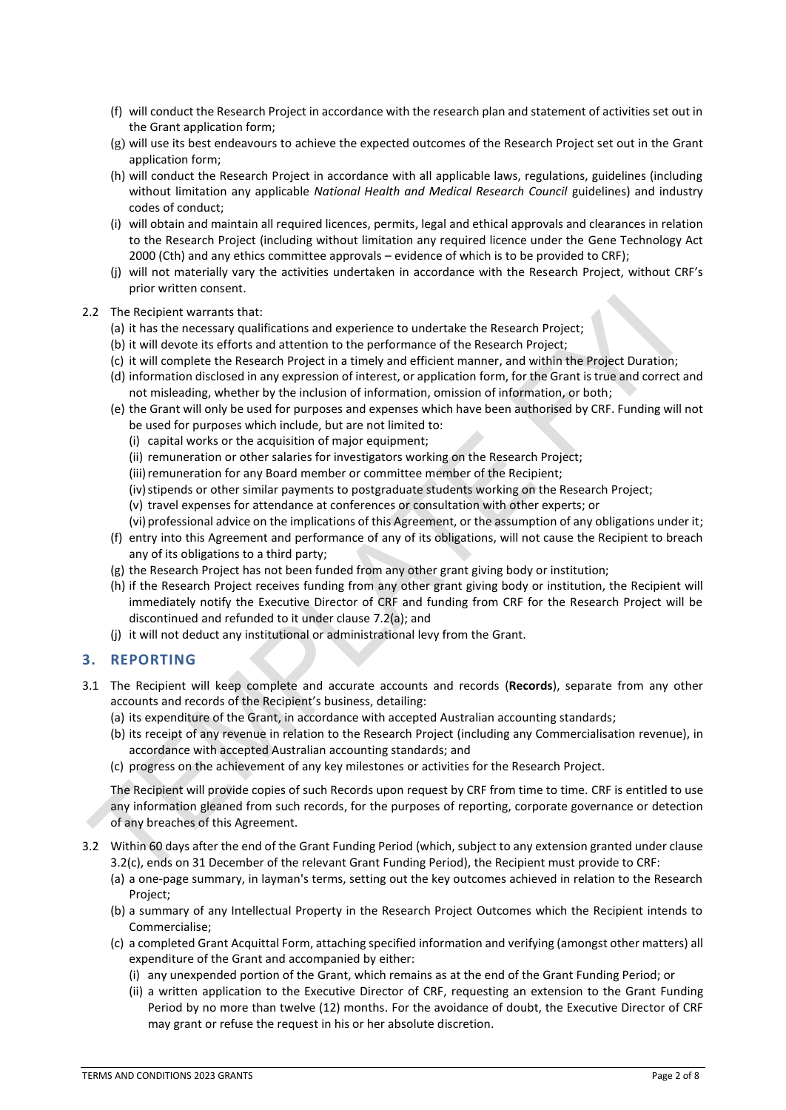- (f) will conduct the Research Project in accordance with the research plan and statement of activities set out in the Grant application form;
- (g) will use its best endeavours to achieve the expected outcomes of the Research Project set out in the Grant application form;
- (h) will conduct the Research Project in accordance with all applicable laws, regulations, guidelines (including without limitation any applicable *National Health and Medical Research Council* guidelines) and industry codes of conduct;
- (i) will obtain and maintain all required licences, permits, legal and ethical approvals and clearances in relation to the Research Project (including without limitation any required licence under the Gene Technology Act 2000 (Cth) and any ethics committee approvals – evidence of which is to be provided to CRF);
- (j) will not materially vary the activities undertaken in accordance with the Research Project, without CRF's prior written consent.

#### 2.2 The Recipient warrants that:

- (a) it has the necessary qualifications and experience to undertake the Research Project;
- (b) it will devote its efforts and attention to the performance of the Research Project;
- (c) it will complete the Research Project in a timely and efficient manner, and within the Project Duration;
- (d) information disclosed in any expression of interest, or application form, for the Grant is true and correct and not misleading, whether by the inclusion of information, omission of information, or both;
- (e) the Grant will only be used for purposes and expenses which have been authorised by CRF. Funding will not be used for purposes which include, but are not limited to:
	- (i) capital works or the acquisition of major equipment;
	- (ii) remuneration or other salaries for investigators working on the Research Project;
	- (iii) remuneration for any Board member or committee member of the Recipient;
	- (iv) stipends or other similar payments to postgraduate students working on the Research Project;
	- (v) travel expenses for attendance at conferences or consultation with other experts; or
	- (vi) professional advice on the implications of this Agreement, or the assumption of any obligations under it;
- (f) entry into this Agreement and performance of any of its obligations, will not cause the Recipient to breach any of its obligations to a third party;
- (g) the Research Project has not been funded from any other grant giving body or institution;
- (h) if the Research Project receives funding from any other grant giving body or institution, the Recipient will immediately notify the Executive Director of CRF and funding from CRF for the Research Project will be discontinued and refunded to it under clause 7.2(a); and
- (j) it will not deduct any institutional or administrational levy from the Grant.

## **3. REPORTING**

- 3.1 The Recipient will keep complete and accurate accounts and records (**Records**), separate from any other accounts and records of the Recipient's business, detailing:
	- (a) its expenditure of the Grant, in accordance with accepted Australian accounting standards;
	- (b) its receipt of any revenue in relation to the Research Project (including any Commercialisation revenue), in accordance with accepted Australian accounting standards; and
	- (c) progress on the achievement of any key milestones or activities for the Research Project.

The Recipient will provide copies of such Records upon request by CRF from time to time. CRF is entitled to use any information gleaned from such records, for the purposes of reporting, corporate governance or detection of any breaches of this Agreement.

- 3.2 Within 60 days after the end of the Grant Funding Period (which, subject to any extension granted under clause 3.2(c), ends on 31 December of the relevant Grant Funding Period), the Recipient must provide to CRF:
	- (a) a one-page summary, in layman's terms, setting out the key outcomes achieved in relation to the Research Project;
	- (b) a summary of any Intellectual Property in the Research Project Outcomes which the Recipient intends to Commercialise;
	- (c) a completed Grant Acquittal Form, attaching specified information and verifying (amongst other matters) all expenditure of the Grant and accompanied by either:
		- (i) any unexpended portion of the Grant, which remains as at the end of the Grant Funding Period; or
		- (ii) a written application to the Executive Director of CRF, requesting an extension to the Grant Funding Period by no more than twelve (12) months. For the avoidance of doubt, the Executive Director of CRF may grant or refuse the request in his or her absolute discretion.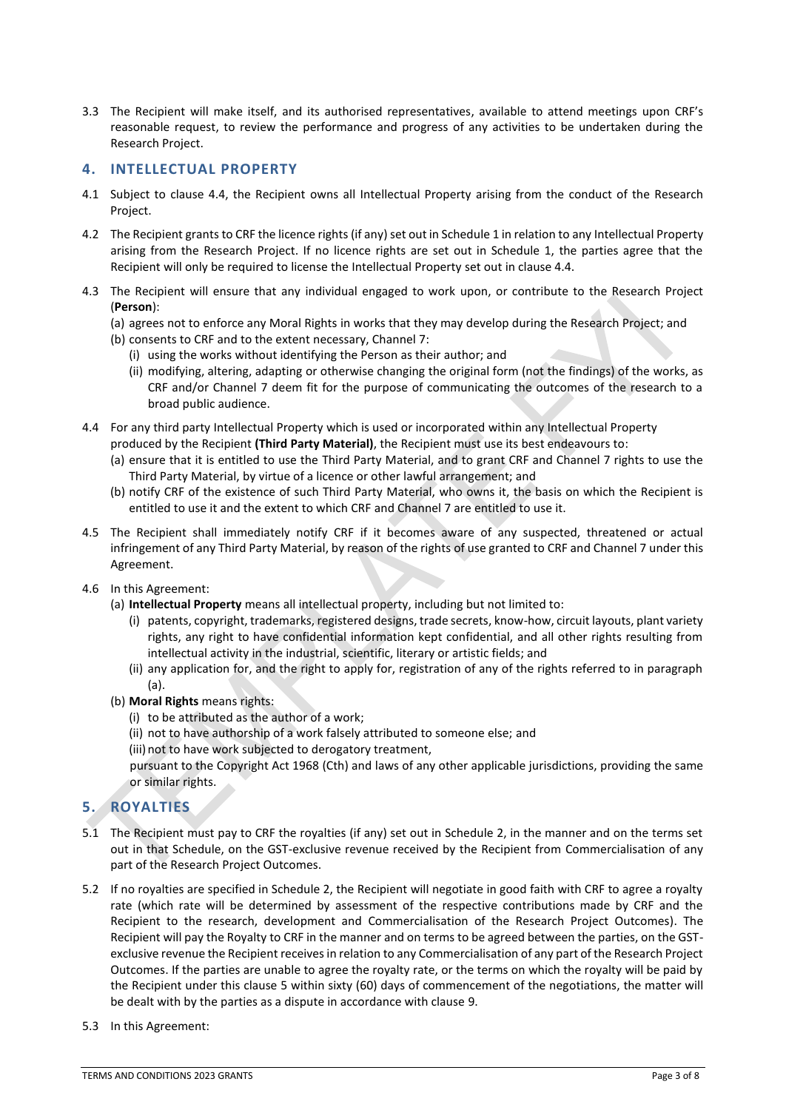3.3 The Recipient will make itself, and its authorised representatives, available to attend meetings upon CRF's reasonable request, to review the performance and progress of any activities to be undertaken during the Research Project.

## **4. INTELLECTUAL PROPERTY**

- 4.1 Subject to clause 4.4, the Recipient owns all Intellectual Property arising from the conduct of the Research Project.
- 4.2 The Recipient grants to CRF the licence rights (if any) set out in Schedule 1 in relation to any Intellectual Property arising from the Research Project. If no licence rights are set out in Schedule 1, the parties agree that the Recipient will only be required to license the Intellectual Property set out in clause 4.4.
- 4.3 The Recipient will ensure that any individual engaged to work upon, or contribute to the Research Project (**Person**):
	- (a) agrees not to enforce any Moral Rights in works that they may develop during the Research Project; and
	- (b) consents to CRF and to the extent necessary, Channel 7:
		- (i) using the works without identifying the Person as their author; and
		- (ii) modifying, altering, adapting or otherwise changing the original form (not the findings) of the works, as CRF and/or Channel 7 deem fit for the purpose of communicating the outcomes of the research to a broad public audience.
- 4.4 For any third party Intellectual Property which is used or incorporated within any Intellectual Property produced by the Recipient **(Third Party Material)**, the Recipient must use its best endeavours to:
	- (a) ensure that it is entitled to use the Third Party Material, and to grant CRF and Channel 7 rights to use the Third Party Material, by virtue of a licence or other lawful arrangement; and
	- (b) notify CRF of the existence of such Third Party Material, who owns it, the basis on which the Recipient is entitled to use it and the extent to which CRF and Channel 7 are entitled to use it.
- 4.5 The Recipient shall immediately notify CRF if it becomes aware of any suspected, threatened or actual infringement of any Third Party Material, by reason of the rights of use granted to CRF and Channel 7 under this Agreement.
- 4.6 In this Agreement:
	- (a) **Intellectual Property** means all intellectual property, including but not limited to:
		- (i) patents, copyright, trademarks, registered designs, trade secrets, know-how, circuit layouts, plant variety rights, any right to have confidential information kept confidential, and all other rights resulting from intellectual activity in the industrial, scientific, literary or artistic fields; and
		- (ii) any application for, and the right to apply for, registration of any of the rights referred to in paragraph (a).
	- (b) **Moral Rights** means rights:
		- (i) to be attributed as the author of a work;
		- (ii) not to have authorship of a work falsely attributed to someone else; and
		- (iii) not to have work subjected to derogatory treatment,

pursuant to the Copyright Act 1968 (Cth) and laws of any other applicable jurisdictions, providing the same or similar rights.

# **5. ROYALTIES**

- 5.1 The Recipient must pay to CRF the royalties (if any) set out in Schedule 2, in the manner and on the terms set out in that Schedule, on the GST-exclusive revenue received by the Recipient from Commercialisation of any part of the Research Project Outcomes.
- 5.2 If no royalties are specified in Schedule 2, the Recipient will negotiate in good faith with CRF to agree a royalty rate (which rate will be determined by assessment of the respective contributions made by CRF and the Recipient to the research, development and Commercialisation of the Research Project Outcomes). The Recipient will pay the Royalty to CRF in the manner and on terms to be agreed between the parties, on the GSTexclusive revenue the Recipient receives in relation to any Commercialisation of any part of the Research Project Outcomes. If the parties are unable to agree the royalty rate, or the terms on which the royalty will be paid by the Recipient under this clause 5 within sixty (60) days of commencement of the negotiations, the matter will be dealt with by the parties as a dispute in accordance with clause 9.
- 5.3 In this Agreement: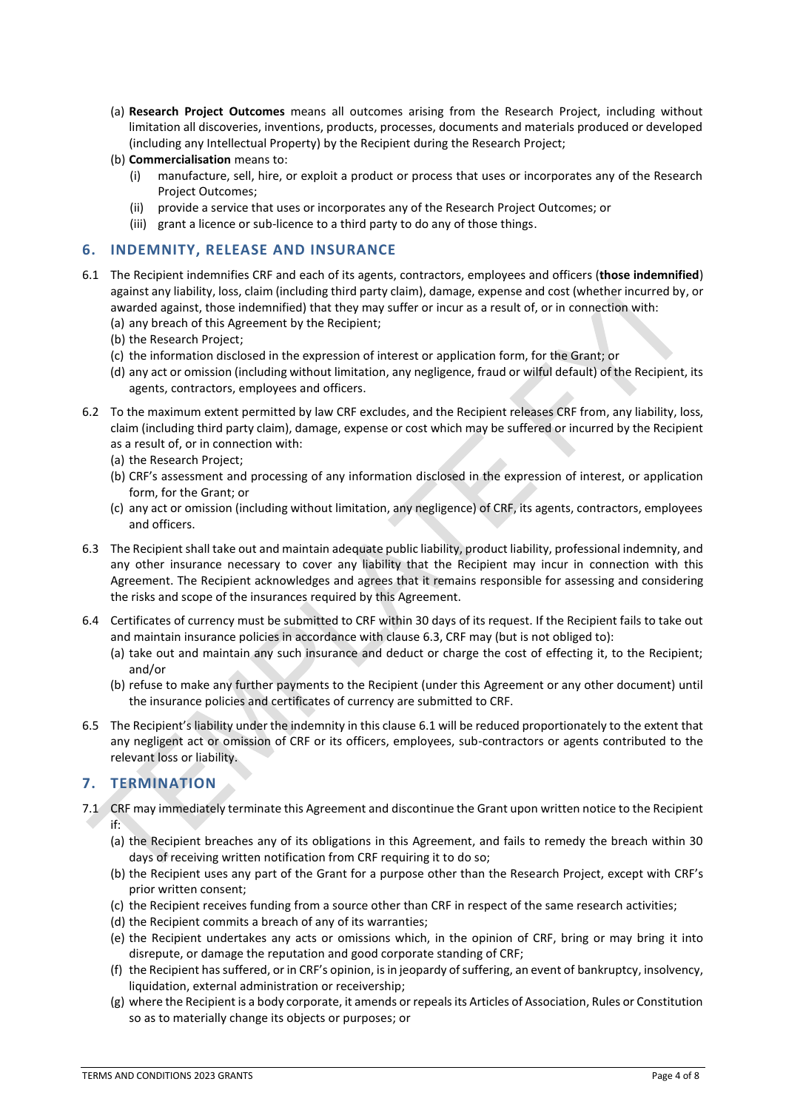- (a) **Research Project Outcomes** means all outcomes arising from the Research Project, including without limitation all discoveries, inventions, products, processes, documents and materials produced or developed (including any Intellectual Property) by the Recipient during the Research Project;
- (b) **Commercialisation** means to:
	- (i) manufacture, sell, hire, or exploit a product or process that uses or incorporates any of the Research Project Outcomes;
	- (ii) provide a service that uses or incorporates any of the Research Project Outcomes; or
	- (iii) grant a licence or sub-licence to a third party to do any of those things.

## **6. INDEMNITY, RELEASE AND INSURANCE**

- 6.1 The Recipient indemnifies CRF and each of its agents, contractors, employees and officers (**those indemnified**) against any liability, loss, claim (including third party claim), damage, expense and cost (whether incurred by, or awarded against, those indemnified) that they may suffer or incur as a result of, or in connection with:
	- (a) any breach of this Agreement by the Recipient;
	- (b) the Research Project;
	- (c) the information disclosed in the expression of interest or application form, for the Grant; or
	- (d) any act or omission (including without limitation, any negligence, fraud or wilful default) of the Recipient, its agents, contractors, employees and officers.
- 6.2 To the maximum extent permitted by law CRF excludes, and the Recipient releases CRF from, any liability, loss, claim (including third party claim), damage, expense or cost which may be suffered or incurred by the Recipient as a result of, or in connection with:
	- (a) the Research Project;
	- (b) CRF's assessment and processing of any information disclosed in the expression of interest, or application form, for the Grant; or
	- (c) any act or omission (including without limitation, any negligence) of CRF, its agents, contractors, employees and officers.
- 6.3 The Recipient shall take out and maintain adequate public liability, product liability, professional indemnity, and any other insurance necessary to cover any liability that the Recipient may incur in connection with this Agreement. The Recipient acknowledges and agrees that it remains responsible for assessing and considering the risks and scope of the insurances required by this Agreement.
- 6.4 Certificates of currency must be submitted to CRF within 30 days of its request. If the Recipient fails to take out and maintain insurance policies in accordance with clause 6.3, CRF may (but is not obliged to):
	- (a) take out and maintain any such insurance and deduct or charge the cost of effecting it, to the Recipient; and/or
	- (b) refuse to make any further payments to the Recipient (under this Agreement or any other document) until the insurance policies and certificates of currency are submitted to CRF.
- 6.5 The Recipient's liability under the indemnity in this clause 6.1 will be reduced proportionately to the extent that any negligent act or omission of CRF or its officers, employees, sub-contractors or agents contributed to the relevant loss or liability.

# **7. TERMINATION**

- 7.1 CRF may immediately terminate this Agreement and discontinue the Grant upon written notice to the Recipient if:
	- (a) the Recipient breaches any of its obligations in this Agreement, and fails to remedy the breach within 30 days of receiving written notification from CRF requiring it to do so;
	- (b) the Recipient uses any part of the Grant for a purpose other than the Research Project, except with CRF's prior written consent;
	- (c) the Recipient receives funding from a source other than CRF in respect of the same research activities;
	- (d) the Recipient commits a breach of any of its warranties;
	- (e) the Recipient undertakes any acts or omissions which, in the opinion of CRF, bring or may bring it into disrepute, or damage the reputation and good corporate standing of CRF;
	- (f) the Recipient has suffered, or in CRF's opinion, is in jeopardy of suffering, an event of bankruptcy, insolvency, liquidation, external administration or receivership;
	- (g) where the Recipient is a body corporate, it amends or repeals its Articles of Association, Rules or Constitution so as to materially change its objects or purposes; or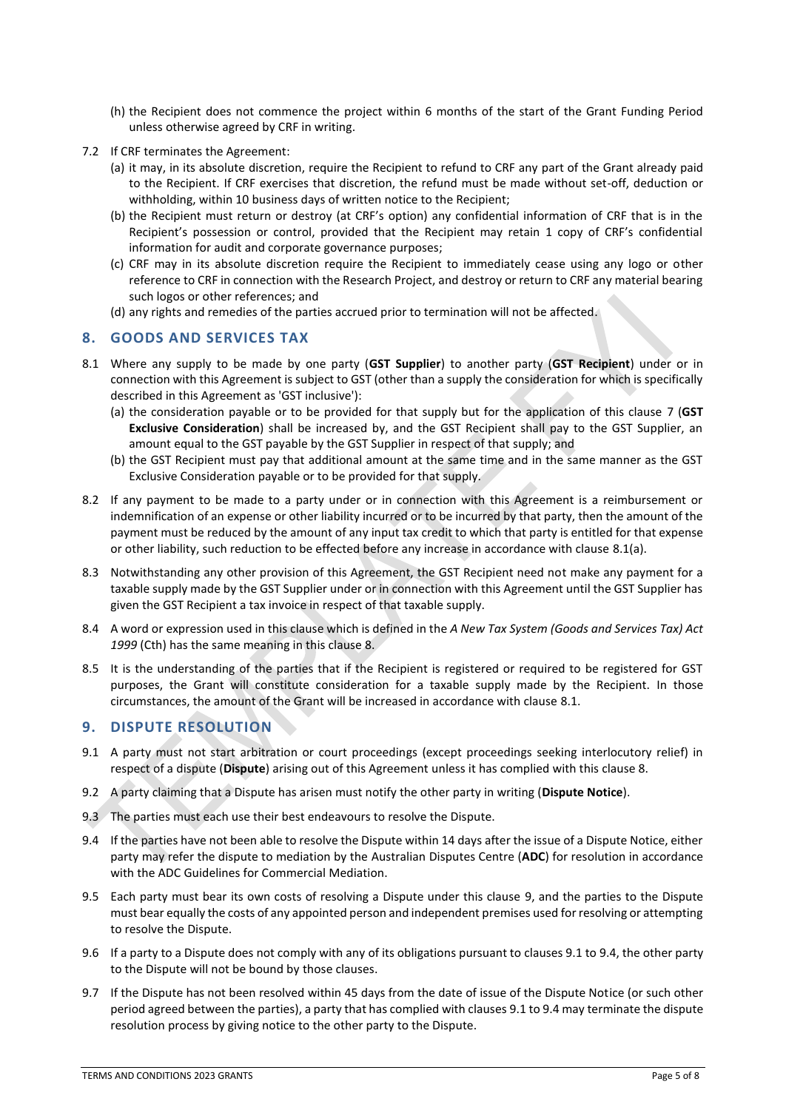- (h) the Recipient does not commence the project within 6 months of the start of the Grant Funding Period unless otherwise agreed by CRF in writing.
- 7.2 If CRF terminates the Agreement:
	- (a) it may, in its absolute discretion, require the Recipient to refund to CRF any part of the Grant already paid to the Recipient. If CRF exercises that discretion, the refund must be made without set-off, deduction or withholding, within 10 business days of written notice to the Recipient;
	- (b) the Recipient must return or destroy (at CRF's option) any confidential information of CRF that is in the Recipient's possession or control, provided that the Recipient may retain 1 copy of CRF's confidential information for audit and corporate governance purposes;
	- (c) CRF may in its absolute discretion require the Recipient to immediately cease using any logo or other reference to CRF in connection with the Research Project, and destroy or return to CRF any material bearing such logos or other references; and
	- (d) any rights and remedies of the parties accrued prior to termination will not be affected.

# **8. GOODS AND SERVICES TAX**

- 8.1 Where any supply to be made by one party (**GST Supplier**) to another party (**GST Recipient**) under or in connection with this Agreement is subject to GST (other than a supply the consideration for which is specifically described in this Agreement as 'GST inclusive'):
	- (a) the consideration payable or to be provided for that supply but for the application of this clause 7 (**GST Exclusive Consideration**) shall be increased by, and the GST Recipient shall pay to the GST Supplier, an amount equal to the GST payable by the GST Supplier in respect of that supply; and
	- (b) the GST Recipient must pay that additional amount at the same time and in the same manner as the GST Exclusive Consideration payable or to be provided for that supply.
- 8.2 If any payment to be made to a party under or in connection with this Agreement is a reimbursement or indemnification of an expense or other liability incurred or to be incurred by that party, then the amount of the payment must be reduced by the amount of any input tax credit to which that party is entitled for that expense or other liability, such reduction to be effected before any increase in accordance with clause 8.1(a).
- 8.3 Notwithstanding any other provision of this Agreement, the GST Recipient need not make any payment for a taxable supply made by the GST Supplier under or in connection with this Agreement until the GST Supplier has given the GST Recipient a tax invoice in respect of that taxable supply.
- 8.4 A word or expression used in this clause which is defined in the *A New Tax System (Goods and Services Tax) Act 1999* (Cth) has the same meaning in this clause 8.
- 8.5 It is the understanding of the parties that if the Recipient is registered or required to be registered for GST purposes, the Grant will constitute consideration for a taxable supply made by the Recipient. In those circumstances, the amount of the Grant will be increased in accordance with clause 8.1.

# **9. DISPUTE RESOLUTION**

- 9.1 A party must not start arbitration or court proceedings (except proceedings seeking interlocutory relief) in respect of a dispute (**Dispute**) arising out of this Agreement unless it has complied with this clause 8.
- 9.2 A party claiming that a Dispute has arisen must notify the other party in writing (**Dispute Notice**).
- 9.3 The parties must each use their best endeavours to resolve the Dispute.
- 9.4 If the parties have not been able to resolve the Dispute within 14 days after the issue of a Dispute Notice, either party may refer the dispute to mediation by the Australian Disputes Centre (**ADC**) for resolution in accordance with the ADC Guidelines for Commercial Mediation.
- 9.5 Each party must bear its own costs of resolving a Dispute under this clause 9, and the parties to the Dispute must bear equally the costs of any appointed person and independent premises used for resolving or attempting to resolve the Dispute.
- 9.6 If a party to a Dispute does not comply with any of its obligations pursuant to clauses 9.1 to 9.4, the other party to the Dispute will not be bound by those clauses.
- 9.7 If the Dispute has not been resolved within 45 days from the date of issue of the Dispute Notice (or such other period agreed between the parties), a party that has complied with clauses 9.1 to 9.4 may terminate the dispute resolution process by giving notice to the other party to the Dispute.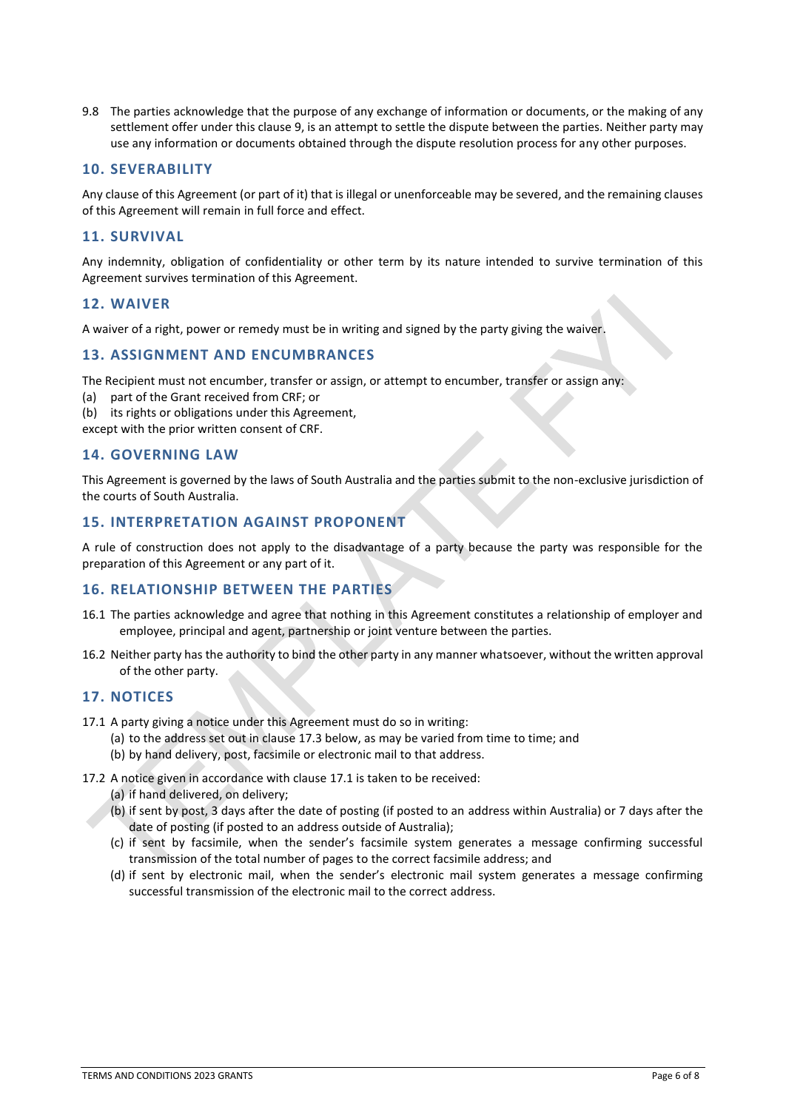9.8 The parties acknowledge that the purpose of any exchange of information or documents, or the making of any settlement offer under this clause 9, is an attempt to settle the dispute between the parties. Neither party may use any information or documents obtained through the dispute resolution process for any other purposes.

## **10. SEVERABILITY**

Any clause of this Agreement (or part of it) that is illegal or unenforceable may be severed, and the remaining clauses of this Agreement will remain in full force and effect.

## **11. SURVIVAL**

Any indemnity, obligation of confidentiality or other term by its nature intended to survive termination of this Agreement survives termination of this Agreement.

### **12. WAIVER**

A waiver of a right, power or remedy must be in writing and signed by the party giving the waiver.

### **13. ASSIGNMENT AND ENCUMBRANCES**

The Recipient must not encumber, transfer or assign, or attempt to encumber, transfer or assign any:

- (a) part of the Grant received from CRF; or
- (b) its rights or obligations under this Agreement,

except with the prior written consent of CRF.

### **14. GOVERNING LAW**

This Agreement is governed by the laws of South Australia and the parties submit to the non-exclusive jurisdiction of the courts of South Australia.

## **15. INTERPRETATION AGAINST PROPONENT**

A rule of construction does not apply to the disadvantage of a party because the party was responsible for the preparation of this Agreement or any part of it.

### **16. RELATIONSHIP BETWEEN THE PARTIES**

- 16.1 The parties acknowledge and agree that nothing in this Agreement constitutes a relationship of employer and employee, principal and agent, partnership or joint venture between the parties.
- 16.2 Neither party has the authority to bind the other party in any manner whatsoever, without the written approval of the other party.

#### **17. NOTICES**

- 17.1 A party giving a notice under this Agreement must do so in writing:
	- (a) to the address set out in clause 17.3 below, as may be varied from time to time; and
	- (b) by hand delivery, post, facsimile or electronic mail to that address.
- 17.2 A notice given in accordance with clause 17.1 is taken to be received:
	- (a) if hand delivered, on delivery;
	- (b) if sent by post, 3 days after the date of posting (if posted to an address within Australia) or 7 days after the date of posting (if posted to an address outside of Australia);
	- (c) if sent by facsimile, when the sender's facsimile system generates a message confirming successful transmission of the total number of pages to the correct facsimile address; and
	- (d) if sent by electronic mail, when the sender's electronic mail system generates a message confirming successful transmission of the electronic mail to the correct address.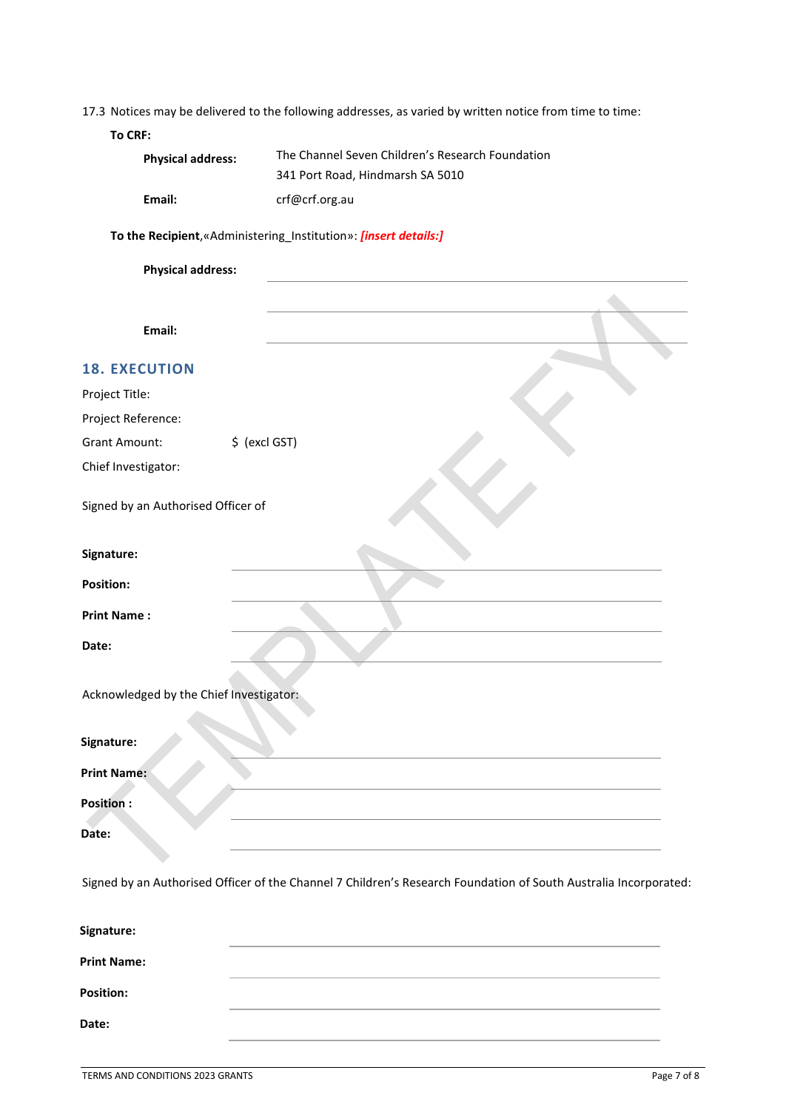|  |  |  |  |  | 17.3 Notices may be delivered to the following addresses, as varied by written notice from time to time: |
|--|--|--|--|--|----------------------------------------------------------------------------------------------------------|
|--|--|--|--|--|----------------------------------------------------------------------------------------------------------|

### **To CRF:**

| <b>Physical address:</b> | The Channel Seven Children's Research Foundation |  |  |
|--------------------------|--------------------------------------------------|--|--|
|                          | 341 Port Road, Hindmarsh SA 5010                 |  |  |
| Email:                   | crf@crf.org.au                                   |  |  |

# **To the Recipient**,«Administering\_Institution»: *[insert details:]*

| <b>Physical address:</b>                |  |
|-----------------------------------------|--|
|                                         |  |
| Email:                                  |  |
| <b>18. EXECUTION</b>                    |  |
| Project Title:                          |  |
| Project Reference:                      |  |
| \$ (excl GST)<br><b>Grant Amount:</b>   |  |
| Chief Investigator:                     |  |
| Signed by an Authorised Officer of      |  |
| Signature:                              |  |
| <b>Position:</b>                        |  |
| <b>Print Name:</b>                      |  |
| Date:                                   |  |
| Acknowledged by the Chief Investigator: |  |
| Signature:                              |  |
| <b>Print Name:</b>                      |  |
| <b>Position:</b>                        |  |
| Date:                                   |  |

Signed by an Authorised Officer of the Channel 7 Children's Research Foundation of South Australia Incorporated:

| Signature:         |  |
|--------------------|--|
| <b>Print Name:</b> |  |
| <b>Position:</b>   |  |
| Date:              |  |